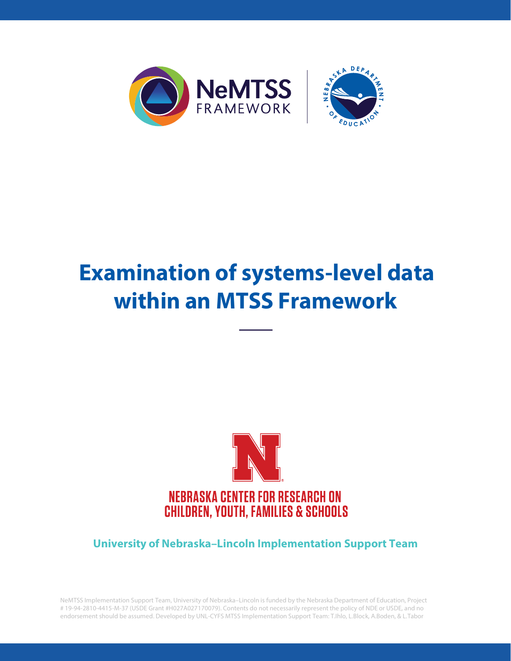

# **Examination of systems-level data within an MTSS Framework**



**University of Nebraska–Lincoln Implementation Support Team**

NeMTSS Implementation Support Team, University of Nebraska–Lincoln is funded by the Nebraska Department of Education, Project # 19-94-2810-4415-M-37 (USDE Grant #H027A027170079). Contents do not necessarily represent the policy of NDE or USDE, and no endorsement should be assumed. Developed by UNL-CYFS MTSS Implementation Support Team: T.Ihlo, L.Block, A.Boden, & L.Tabor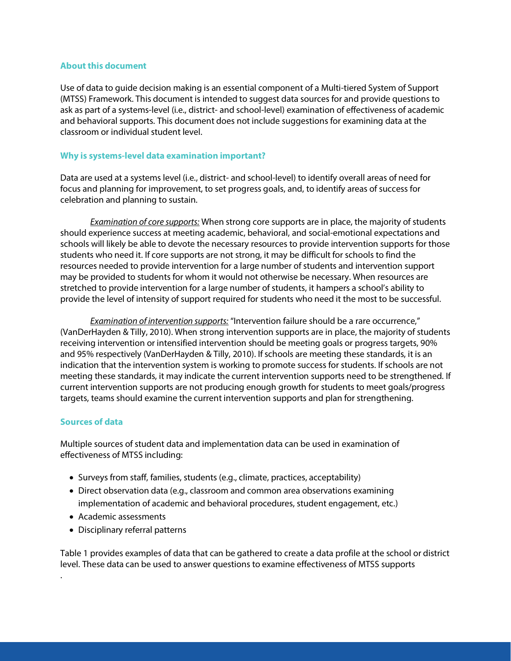## **About this document**

Use of data to guide decision making is an essential component of a Multi-tiered System of Support (MTSS) Framework. This document is intended to suggest data sources for and provide questions to ask as part of a systems-level (i.e., district- and school-level) examination of effectiveness of academic and behavioral supports. This document does not include suggestions for examining data at the classroom or individual student level.

## **Why is systems-level data examination important?**

Data are used at a systems level (i.e., district- and school-level) to identify overall areas of need for focus and planning for improvement, to set progress goals, and, to identify areas of success for celebration and planning to sustain.

*Examination of core supports:* When strong core supports are in place, the majority of students should experience success at meeting academic, behavioral, and social-emotional expectations and schools will likely be able to devote the necessary resources to provide intervention supports for those students who need it. If core supports are not strong, it may be difficult for schools to find the resources needed to provide intervention for a large number of students and intervention support may be provided to students for whom it would not otherwise be necessary. When resources are stretched to provide intervention for a large number of students, it hampers a school's ability to provide the level of intensity of support required for students who need it the most to be successful.

*Examination of intervention supports:* "Intervention failure should be a rare occurrence," (VanDerHayden & Tilly, 2010). When strong intervention supports are in place, the majority of students receiving intervention or intensified intervention should be meeting goals or progress targets, 90% and 95% respectively (VanDerHayden & Tilly, 2010). If schools are meeting these standards, it is an indication that the intervention system is working to promote success for students. If schools are not meeting these standards, it may indicate the current intervention supports need to be strengthened. If current intervention supports are not producing enough growth for students to meet goals/progress targets, teams should examine the current intervention supports and plan for strengthening.

## **Sources of data**

.

Multiple sources of student data and implementation data can be used in examination of effectiveness of MTSS including:

- Surveys from staff, families, students (e.g., climate, practices, acceptability)
- Direct observation data (e.g., classroom and common area observations examining implementation of academic and behavioral procedures, student engagement, etc.)
- Academic assessments
- Disciplinary referral patterns

Table 1 provides examples of data that can be gathered to create a data profile at the school or district level. These data can be used to answer questions to examine effectiveness of MTSS supports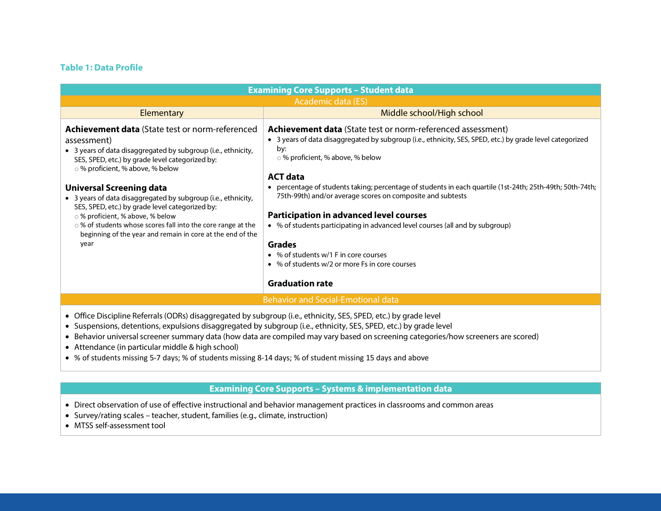## **Table 1: Data Profile**

| <b>Examining Core Supports - Student data</b>                                                                                                                                                                                                                                                                                                                                                                                                                                                                                                 |                                                                                                                                                                                                                                                                                                                                                                                                                          |  |  |
|-----------------------------------------------------------------------------------------------------------------------------------------------------------------------------------------------------------------------------------------------------------------------------------------------------------------------------------------------------------------------------------------------------------------------------------------------------------------------------------------------------------------------------------------------|--------------------------------------------------------------------------------------------------------------------------------------------------------------------------------------------------------------------------------------------------------------------------------------------------------------------------------------------------------------------------------------------------------------------------|--|--|
| Academic data (ES)                                                                                                                                                                                                                                                                                                                                                                                                                                                                                                                            |                                                                                                                                                                                                                                                                                                                                                                                                                          |  |  |
| Elementary                                                                                                                                                                                                                                                                                                                                                                                                                                                                                                                                    | Middle school/High school                                                                                                                                                                                                                                                                                                                                                                                                |  |  |
| <b>Achievement data</b> (State test or norm-referenced<br>assessment)<br>• 3 years of data disaggregated by subgroup (i.e., ethnicity,<br>SES, SPED, etc.) by grade level categorized by:<br>○ % proficient, % above, % below<br><b>Universal Screening data</b><br>• 3 years of data disaggregated by subgroup (i.e., ethnicity,<br>SES, SPED, etc.) by grade level categorized by:                                                                                                                                                          | <b>Achievement data</b> (State test or norm-referenced assessment)<br>• 3 years of data disaggregated by subgroup (i.e., ethnicity, SES, SPED, etc.) by grade level categorized<br>by:<br>○ % proficient, % above, % below<br><b>ACT data</b><br>• percentage of students taking; percentage of students in each quartile (1st-24th; 25th-49th; 50th-74th;<br>75th-99th) and/or average scores on composite and subtests |  |  |
| ○ % proficient, % above, % below<br>○ % of students whose scores fall into the core range at the<br>beginning of the year and remain in core at the end of the<br>year                                                                                                                                                                                                                                                                                                                                                                        | <b>Participation in advanced level courses</b><br>• % of students participating in advanced level courses (all and by subgroup)<br><b>Grades</b><br>• % of students w/1 F in core courses<br>• % of students w/2 or more Fs in core courses<br><b>Graduation rate</b>                                                                                                                                                    |  |  |
|                                                                                                                                                                                                                                                                                                                                                                                                                                                                                                                                               | <b>Behavior and Social-Emotional data</b>                                                                                                                                                                                                                                                                                                                                                                                |  |  |
| • Office Discipline Referrals (ODRs) disaggregated by subgroup (i.e., ethnicity, SES, SPED, etc.) by grade level<br>• Suspensions, detentions, expulsions disaggregated by subgroup (i.e., ethnicity, SES, SPED, etc.) by grade level<br>• Behavior universal screener summary data (how data are compiled may vary based on screening categories/how screeners are scored)<br>• Attendance (in particular middle & high school)<br>• % of students missing 5-7 days; % of students missing 8-14 days; % of student missing 15 days and above |                                                                                                                                                                                                                                                                                                                                                                                                                          |  |  |

## **Examining Core Supports – Systems & implementation data**

- Direct observation of use of effective instructional and behavior management practices in classrooms and common areas
- Survey/rating scales teacher, student, families (e.g., climate, instruction)
- MTSS self-assessment tool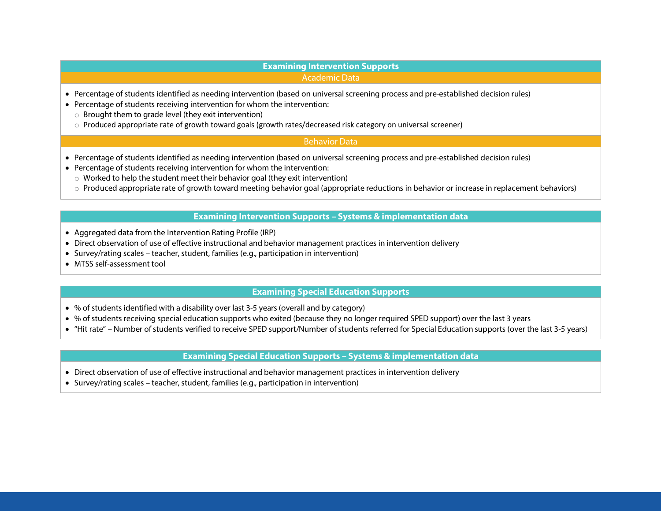#### **Examining Intervention Supports** Academic Data

- Percentage of students identified as needing intervention (based on universal screening process and pre-established decision rules)
- Percentage of students receiving intervention for whom the intervention:
	- o Brought them to grade level (they exit intervention)
	- o Produced appropriate rate of growth toward goals (growth rates/decreased risk category on universal screener)

## Behavior Data

- Percentage of students identified as needing intervention (based on universal screening process and pre-established decision rules)
- Percentage of students receiving intervention for whom the intervention:
	- $\circ$  Worked to help the student meet their behavior goal (they exit intervention)
	- o Produced appropriate rate of growth toward meeting behavior goal (appropriate reductions in behavior or increase in replacement behaviors)

#### **Examining Intervention Supports – Systems & implementation data**

- Aggregated data from the Intervention Rating Profile (IRP)
- Direct observation of use of effective instructional and behavior management practices in intervention delivery
- Survey/rating scales teacher, student, families (e.g., participation in intervention)
- MTSS self-assessment tool

#### **Examining Special Education Supports**

- % of students identified with a disability over last 3-5 years (overall and by category)
- % of students receiving special education supports who exited (because they no longer required SPED support) over the last 3 years
- "Hit rate" Number of students verified to receive SPED support/Number of students referred for Special Education supports (over the last 3-5 years)

### **Examining Special Education Supports – Systems & implementation data**

- Direct observation of use of effective instructional and behavior management practices in intervention delivery
- Survey/rating scales teacher, student, families (e.g., participation in intervention)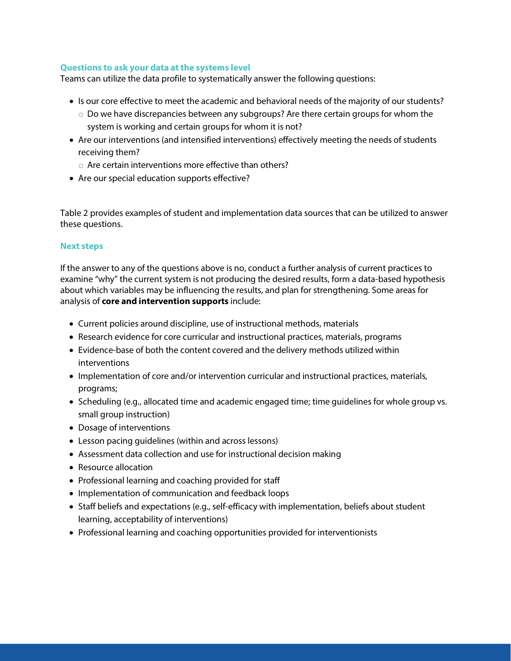## **Questions to ask your data at the systems level**

Teams can utilize the data profile to systematically answer the following questions:

- Is our core effective to meet the academic and behavioral needs of the majority of our students?
	- o Do we have discrepancies between any subgroups? Are there certain groups for whom the system is working and certain groups for whom it is not?
- Are our interventions (and intensified interventions) effectively meeting the needs of students receiving them?
	- $\circ$  Are certain interventions more effective than others?
- Are our special education supports effective?

Table 2 provides examples of student and implementation data sources that can be utilized to answer these questions.

## **Next steps**

If the answer to any of the questions above is no, conduct a further analysis of current practices to examine "why" the current system is not producing the desired results, form a data-based hypothesis about which variables may be influencing the results, and plan for strengthening. Some areas for analysis of **core and intervention supports** include:

- Current policies around discipline, use of instructional methods, materials
- Research evidence for core curricular and instructional practices, materials, programs
- Evidence-base of both the content covered and the delivery methods utilized within interventions
- Implementation of core and/or intervention curricular and instructional practices, materials, programs;
- Scheduling (e.g., allocated time and academic engaged time; time guidelines for whole group vs. small group instruction)
- Dosage of interventions
- Lesson pacing guidelines (within and across lessons)
- Assessment data collection and use for instructional decision making
- Resource allocation
- Professional learning and coaching provided for staff
- Implementation of communication and feedback loops
- Staff beliefs and expectations (e.g., self-efficacy with implementation, beliefs about student learning, acceptability of interventions)
- Professional learning and coaching opportunities provided for interventionists